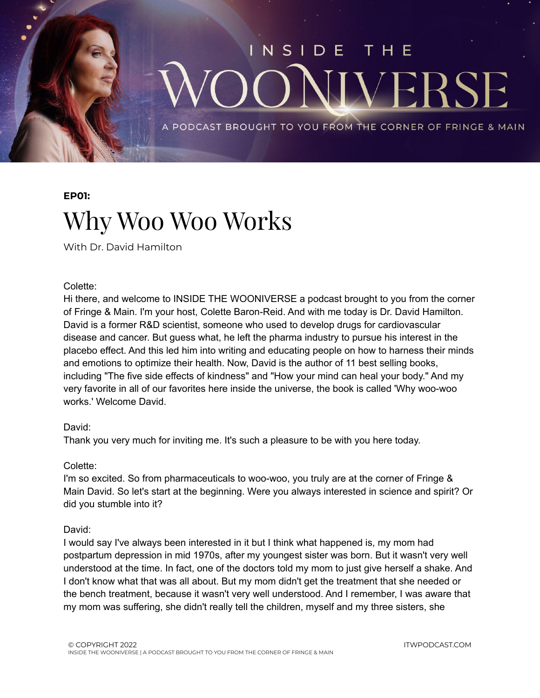

#### **EP01:**

### Why Woo Woo Works

With Dr. David Hamilton

#### Colette:

Hi there, and welcome to INSIDE THE WOONIVERSE a podcast brought to you from the corner of Fringe & Main. I'm your host, Colette Baron-Reid. And with me today is Dr. David Hamilton. David is a former R&D scientist, someone who used to develop drugs for cardiovascular disease and cancer. But guess what, he left the pharma industry to pursue his interest in the placebo effect. And this led him into writing and educating people on how to harness their minds and emotions to optimize their health. Now, David is the author of 11 best selling books, including "The five side effects of kindness" and "How your mind can heal your body." And my very favorite in all of our favorites here inside the universe, the book is called 'Why woo-woo works.' Welcome David.

#### David:

Thank you very much for inviting me. It's such a pleasure to be with you here today.

#### Colette:

I'm so excited. So from pharmaceuticals to woo-woo, you truly are at the corner of Fringe & Main David. So let's start at the beginning. Were you always interested in science and spirit? Or did you stumble into it?

#### David:

I would say I've always been interested in it but I think what happened is, my mom had postpartum depression in mid 1970s, after my youngest sister was born. But it wasn't very well understood at the time. In fact, one of the doctors told my mom to just give herself a shake. And I don't know what that was all about. But my mom didn't get the treatment that she needed or the bench treatment, because it wasn't very well understood. And I remember, I was aware that my mom was suffering, she didn't really tell the children, myself and my three sisters, she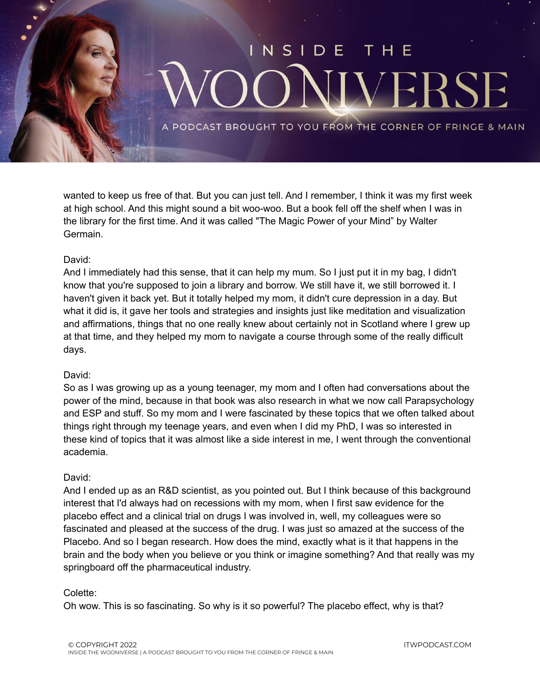

wanted to keep us free of that. But you can just tell. And I remember, I think it was my first week at high school. And this might sound a bit woo-woo. But a book fell off the shelf when I was in the library for the first time. And it was called "The Magic Power of your Mind" by Walter Germain.

#### David:

And I immediately had this sense, that it can help my mum. So I just put it in my bag, I didn't know that you're supposed to join a library and borrow. We still have it, we still borrowed it. I haven't given it back yet. But it totally helped my mom, it didn't cure depression in a day. But what it did is, it gave her tools and strategies and insights just like meditation and visualization and affirmations, things that no one really knew about certainly not in Scotland where I grew up at that time, and they helped my mom to navigate a course through some of the really difficult days.

#### David:

So as I was growing up as a young teenager, my mom and I often had conversations about the power of the mind, because in that book was also research in what we now call Parapsychology and ESP and stuff. So my mom and I were fascinated by these topics that we often talked about things right through my teenage years, and even when I did my PhD, I was so interested in these kind of topics that it was almost like a side interest in me, I went through the conventional academia.

#### David:

And I ended up as an R&D scientist, as you pointed out. But I think because of this background interest that I'd always had on recessions with my mom, when I first saw evidence for the placebo effect and a clinical trial on drugs I was involved in, well, my colleagues were so fascinated and pleased at the success of the drug. I was just so amazed at the success of the Placebo. And so I began research. How does the mind, exactly what is it that happens in the brain and the body when you believe or you think or imagine something? And that really was my springboard off the pharmaceutical industry.

#### Colette:

Oh wow. This is so fascinating. So why is it so powerful? The placebo effect, why is that?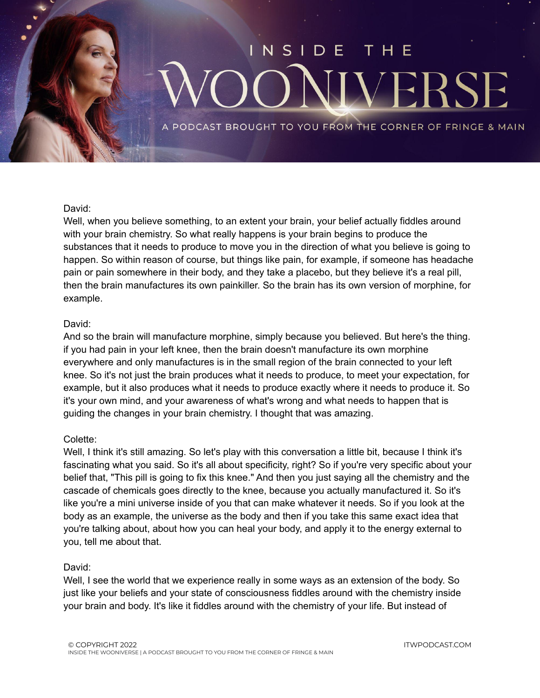## NSIDE **VERS**

PODCAST BROUGHT TO YOU FROM THE CORNER OF FRINGE & MAIN

#### David:

Well, when you believe something, to an extent your brain, your belief actually fiddles around with your brain chemistry. So what really happens is your brain begins to produce the substances that it needs to produce to move you in the direction of what you believe is going to happen. So within reason of course, but things like pain, for example, if someone has headache pain or pain somewhere in their body, and they take a placebo, but they believe it's a real pill, then the brain manufactures its own painkiller. So the brain has its own version of morphine, for example.

#### David:

And so the brain will manufacture morphine, simply because you believed. But here's the thing. if you had pain in your left knee, then the brain doesn't manufacture its own morphine everywhere and only manufactures is in the small region of the brain connected to your left knee. So it's not just the brain produces what it needs to produce, to meet your expectation, for example, but it also produces what it needs to produce exactly where it needs to produce it. So it's your own mind, and your awareness of what's wrong and what needs to happen that is guiding the changes in your brain chemistry. I thought that was amazing.

#### Colette:

Well, I think it's still amazing. So let's play with this conversation a little bit, because I think it's fascinating what you said. So it's all about specificity, right? So if you're very specific about your belief that, "This pill is going to fix this knee." And then you just saying all the chemistry and the cascade of chemicals goes directly to the knee, because you actually manufactured it. So it's like you're a mini universe inside of you that can make whatever it needs. So if you look at the body as an example, the universe as the body and then if you take this same exact idea that you're talking about, about how you can heal your body, and apply it to the energy external to you, tell me about that.

#### David:

Well, I see the world that we experience really in some ways as an extension of the body. So just like your beliefs and your state of consciousness fiddles around with the chemistry inside your brain and body. It's like it fiddles around with the chemistry of your life. But instead of

ITWPODCAST.COM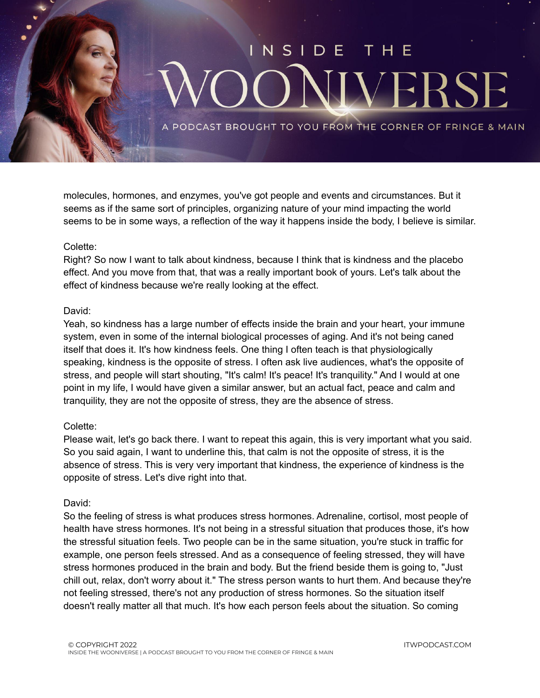

molecules, hormones, and enzymes, you've got people and events and circumstances. But it seems as if the same sort of principles, organizing nature of your mind impacting the world seems to be in some ways, a reflection of the way it happens inside the body, I believe is similar.

#### Colette:

Right? So now I want to talk about kindness, because I think that is kindness and the placebo effect. And you move from that, that was a really important book of yours. Let's talk about the effect of kindness because we're really looking at the effect.

#### David:

Yeah, so kindness has a large number of effects inside the brain and your heart, your immune system, even in some of the internal biological processes of aging. And it's not being caned itself that does it. It's how kindness feels. One thing I often teach is that physiologically speaking, kindness is the opposite of stress. I often ask live audiences, what's the opposite of stress, and people will start shouting, "It's calm! It's peace! It's tranquility." And I would at one point in my life, I would have given a similar answer, but an actual fact, peace and calm and tranquility, they are not the opposite of stress, they are the absence of stress.

#### Colette:

Please wait, let's go back there. I want to repeat this again, this is very important what you said. So you said again, I want to underline this, that calm is not the opposite of stress, it is the absence of stress. This is very very important that kindness, the experience of kindness is the opposite of stress. Let's dive right into that.

#### David:

So the feeling of stress is what produces stress hormones. Adrenaline, cortisol, most people of health have stress hormones. It's not being in a stressful situation that produces those, it's how the stressful situation feels. Two people can be in the same situation, you're stuck in traffic for example, one person feels stressed. And as a consequence of feeling stressed, they will have stress hormones produced in the brain and body. But the friend beside them is going to, "Just chill out, relax, don't worry about it." The stress person wants to hurt them. And because they're not feeling stressed, there's not any production of stress hormones. So the situation itself doesn't really matter all that much. It's how each person feels about the situation. So coming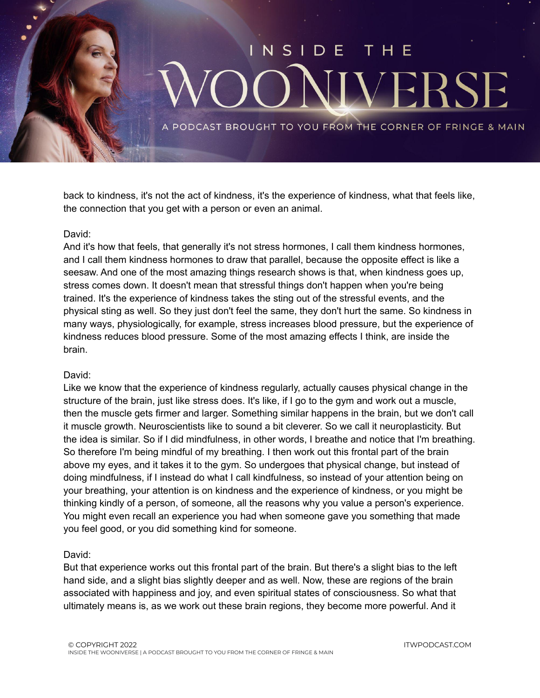## $N$  S I D F VERS

PODCAST BROUGHT TO YOU FROM THE CORNER OF FRINGE & MAIN

back to kindness, it's not the act of kindness, it's the experience of kindness, what that feels like, the connection that you get with a person or even an animal.

#### David:

And it's how that feels, that generally it's not stress hormones, I call them kindness hormones, and I call them kindness hormones to draw that parallel, because the opposite effect is like a seesaw. And one of the most amazing things research shows is that, when kindness goes up, stress comes down. It doesn't mean that stressful things don't happen when you're being trained. It's the experience of kindness takes the sting out of the stressful events, and the physical sting as well. So they just don't feel the same, they don't hurt the same. So kindness in many ways, physiologically, for example, stress increases blood pressure, but the experience of kindness reduces blood pressure. Some of the most amazing effects I think, are inside the brain.

#### David:

Like we know that the experience of kindness regularly, actually causes physical change in the structure of the brain, just like stress does. It's like, if I go to the gym and work out a muscle, then the muscle gets firmer and larger. Something similar happens in the brain, but we don't call it muscle growth. Neuroscientists like to sound a bit cleverer. So we call it neuroplasticity. But the idea is similar. So if I did mindfulness, in other words, I breathe and notice that I'm breathing. So therefore I'm being mindful of my breathing. I then work out this frontal part of the brain above my eyes, and it takes it to the gym. So undergoes that physical change, but instead of doing mindfulness, if I instead do what I call kindfulness, so instead of your attention being on your breathing, your attention is on kindness and the experience of kindness, or you might be thinking kindly of a person, of someone, all the reasons why you value a person's experience. You might even recall an experience you had when someone gave you something that made you feel good, or you did something kind for someone.

#### David:

But that experience works out this frontal part of the brain. But there's a slight bias to the left hand side, and a slight bias slightly deeper and as well. Now, these are regions of the brain associated with happiness and joy, and even spiritual states of consciousness. So what that ultimately means is, as we work out these brain regions, they become more powerful. And it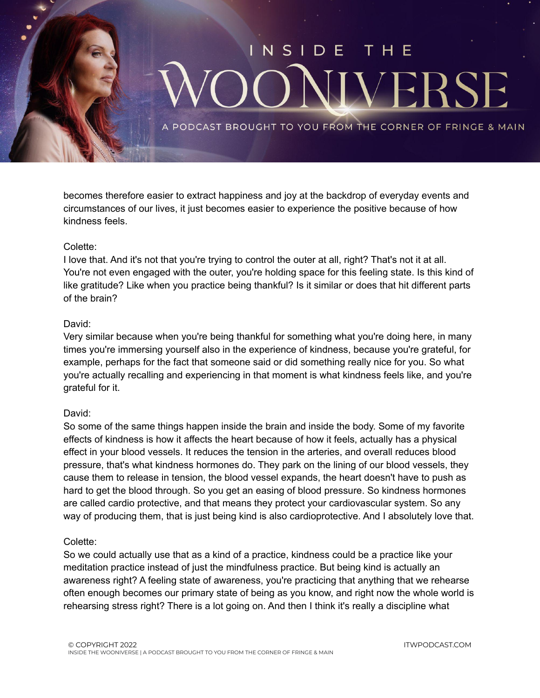

becomes therefore easier to extract happiness and joy at the backdrop of everyday events and circumstances of our lives, it just becomes easier to experience the positive because of how kindness feels.

#### Colette:

I love that. And it's not that you're trying to control the outer at all, right? That's not it at all. You're not even engaged with the outer, you're holding space for this feeling state. Is this kind of like gratitude? Like when you practice being thankful? Is it similar or does that hit different parts of the brain?

#### David:

Very similar because when you're being thankful for something what you're doing here, in many times you're immersing yourself also in the experience of kindness, because you're grateful, for example, perhaps for the fact that someone said or did something really nice for you. So what you're actually recalling and experiencing in that moment is what kindness feels like, and you're grateful for it.

#### David:

So some of the same things happen inside the brain and inside the body. Some of my favorite effects of kindness is how it affects the heart because of how it feels, actually has a physical effect in your blood vessels. It reduces the tension in the arteries, and overall reduces blood pressure, that's what kindness hormones do. They park on the lining of our blood vessels, they cause them to release in tension, the blood vessel expands, the heart doesn't have to push as hard to get the blood through. So you get an easing of blood pressure. So kindness hormones are called cardio protective, and that means they protect your cardiovascular system. So any way of producing them, that is just being kind is also cardioprotective. And I absolutely love that.

#### Colette:

So we could actually use that as a kind of a practice, kindness could be a practice like your meditation practice instead of just the mindfulness practice. But being kind is actually an awareness right? A feeling state of awareness, you're practicing that anything that we rehearse often enough becomes our primary state of being as you know, and right now the whole world is rehearsing stress right? There is a lot going on. And then I think it's really a discipline what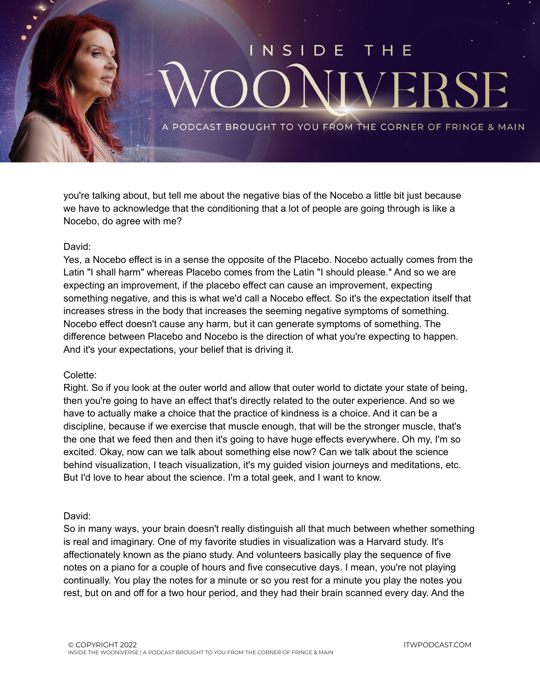

you're talking about, but tell me about the negative bias of the Nocebo a little bit just because we have to acknowledge that the conditioning that a lot of people are going through is like a Nocebo, do agree with me?

#### David:

Yes, a Nocebo effect is in a sense the opposite of the Placebo. Nocebo actually comes from the Latin "I shall harm" whereas Placebo comes from the Latin "I should please." And so we are expecting an improvement, if the placebo effect can cause an improvement, expecting something negative, and this is what we'd call a Nocebo effect. So it's the expectation itself that increases stress in the body that increases the seeming negative symptoms of something. Nocebo effect doesn't cause any harm, but it can generate symptoms of something. The difference between Placebo and Nocebo is the direction of what you're expecting to happen. And it's your expectations, your belief that is driving it.

#### Colette:

Right. So if you look at the outer world and allow that outer world to dictate your state of being, then you're going to have an effect that's directly related to the outer experience. And so we have to actually make a choice that the practice of kindness is a choice. And it can be a discipline, because if we exercise that muscle enough, that will be the stronger muscle, that's the one that we feed then and then it's going to have huge effects everywhere. Oh my, I'm so excited. Okay, now can we talk about something else now? Can we talk about the science behind visualization, I teach visualization, it's my guided vision journeys and meditations, etc. But I'd love to hear about the science. I'm a total geek, and I want to know.

#### David:

So in many ways, your brain doesn't really distinguish all that much between whether something is real and imaginary. One of my favorite studies in visualization was a Harvard study. It's affectionately known as the piano study. And volunteers basically play the sequence of five notes on a piano for a couple of hours and five consecutive days. I mean, you're not playing continually. You play the notes for a minute or so you rest for a minute you play the notes you rest, but on and off for a two hour period, and they had their brain scanned every day. And the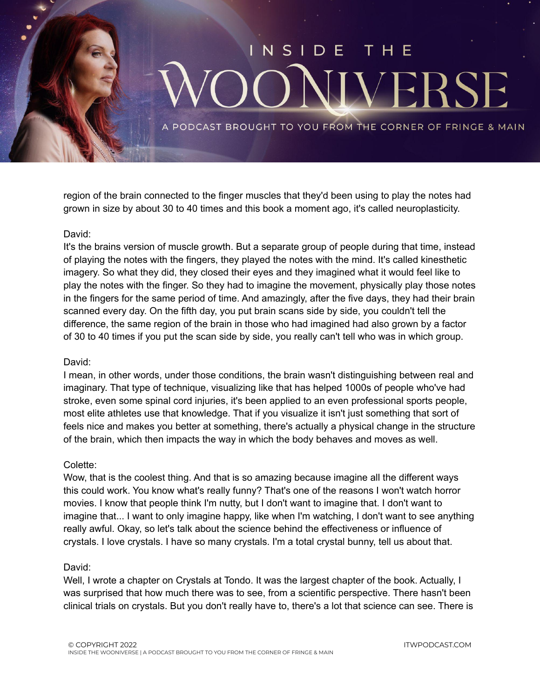

region of the brain connected to the finger muscles that they'd been using to play the notes had grown in size by about 30 to 40 times and this book a moment ago, it's called neuroplasticity.

#### David:

It's the brains version of muscle growth. But a separate group of people during that time, instead of playing the notes with the fingers, they played the notes with the mind. It's called kinesthetic imagery. So what they did, they closed their eyes and they imagined what it would feel like to play the notes with the finger. So they had to imagine the movement, physically play those notes in the fingers for the same period of time. And amazingly, after the five days, they had their brain scanned every day. On the fifth day, you put brain scans side by side, you couldn't tell the difference, the same region of the brain in those who had imagined had also grown by a factor of 30 to 40 times if you put the scan side by side, you really can't tell who was in which group.

#### David:

I mean, in other words, under those conditions, the brain wasn't distinguishing between real and imaginary. That type of technique, visualizing like that has helped 1000s of people who've had stroke, even some spinal cord injuries, it's been applied to an even professional sports people, most elite athletes use that knowledge. That if you visualize it isn't just something that sort of feels nice and makes you better at something, there's actually a physical change in the structure of the brain, which then impacts the way in which the body behaves and moves as well.

#### Colette:

Wow, that is the coolest thing. And that is so amazing because imagine all the different ways this could work. You know what's really funny? That's one of the reasons I won't watch horror movies. I know that people think I'm nutty, but I don't want to imagine that. I don't want to imagine that... I want to only imagine happy, like when I'm watching, I don't want to see anything really awful. Okay, so let's talk about the science behind the effectiveness or influence of crystals. I love crystals. I have so many crystals. I'm a total crystal bunny, tell us about that.

#### David:

Well, I wrote a chapter on Crystals at Tondo. It was the largest chapter of the book. Actually, I was surprised that how much there was to see, from a scientific perspective. There hasn't been clinical trials on crystals. But you don't really have to, there's a lot that science can see. There is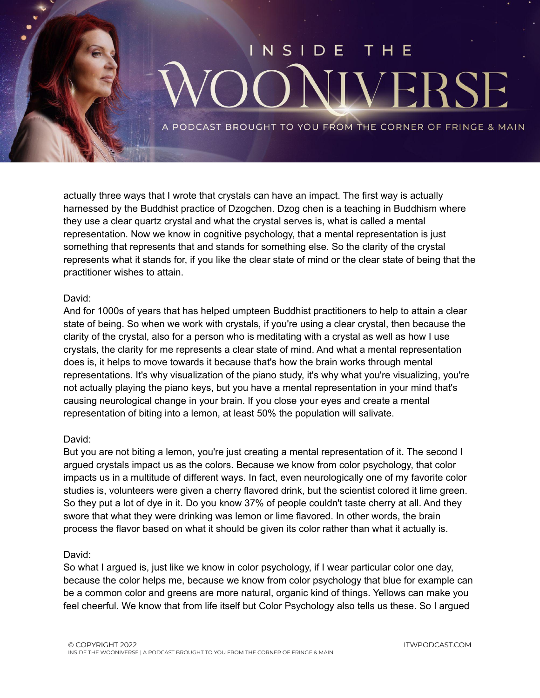

actually three ways that I wrote that crystals can have an impact. The first way is actually harnessed by the Buddhist practice of Dzogchen. Dzog chen is a teaching in Buddhism where they use a clear quartz crystal and what the crystal serves is, what is called a mental representation. Now we know in cognitive psychology, that a mental representation is just something that represents that and stands for something else. So the clarity of the crystal represents what it stands for, if you like the clear state of mind or the clear state of being that the practitioner wishes to attain.

#### David:

And for 1000s of years that has helped umpteen Buddhist practitioners to help to attain a clear state of being. So when we work with crystals, if you're using a clear crystal, then because the clarity of the crystal, also for a person who is meditating with a crystal as well as how I use crystals, the clarity for me represents a clear state of mind. And what a mental representation does is, it helps to move towards it because that's how the brain works through mental representations. It's why visualization of the piano study, it's why what you're visualizing, you're not actually playing the piano keys, but you have a mental representation in your mind that's causing neurological change in your brain. If you close your eyes and create a mental representation of biting into a lemon, at least 50% the population will salivate.

#### David:

But you are not biting a lemon, you're just creating a mental representation of it. The second I argued crystals impact us as the colors. Because we know from color psychology, that color impacts us in a multitude of different ways. In fact, even neurologically one of my favorite color studies is, volunteers were given a cherry flavored drink, but the scientist colored it lime green. So they put a lot of dye in it. Do you know 37% of people couldn't taste cherry at all. And they swore that what they were drinking was lemon or lime flavored. In other words, the brain process the flavor based on what it should be given its color rather than what it actually is.

#### David:

So what I argued is, just like we know in color psychology, if I wear particular color one day, because the color helps me, because we know from color psychology that blue for example can be a common color and greens are more natural, organic kind of things. Yellows can make you feel cheerful. We know that from life itself but Color Psychology also tells us these. So I argued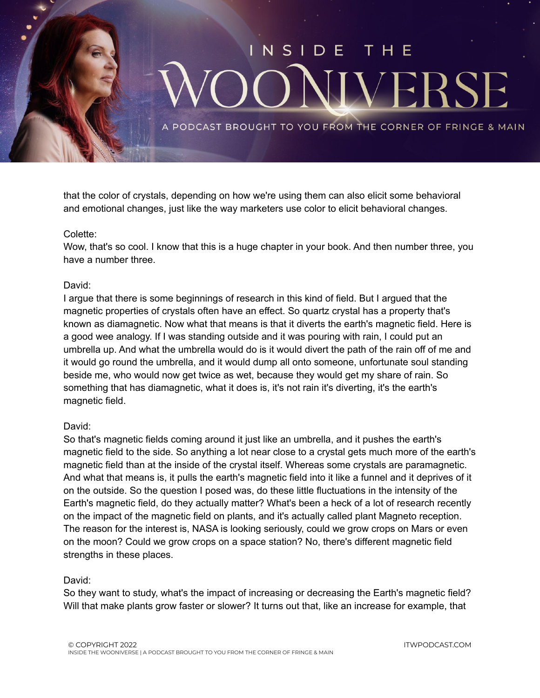

that the color of crystals, depending on how we're using them can also elicit some behavioral and emotional changes, just like the way marketers use color to elicit behavioral changes.

#### Colette:

Wow, that's so cool. I know that this is a huge chapter in your book. And then number three, you have a number three.

#### David:

I argue that there is some beginnings of research in this kind of field. But I argued that the magnetic properties of crystals often have an effect. So quartz crystal has a property that's known as diamagnetic. Now what that means is that it diverts the earth's magnetic field. Here is a good wee analogy. If I was standing outside and it was pouring with rain, I could put an umbrella up. And what the umbrella would do is it would divert the path of the rain off of me and it would go round the umbrella, and it would dump all onto someone, unfortunate soul standing beside me, who would now get twice as wet, because they would get my share of rain. So something that has diamagnetic, what it does is, it's not rain it's diverting, it's the earth's magnetic field.

#### David:

So that's magnetic fields coming around it just like an umbrella, and it pushes the earth's magnetic field to the side. So anything a lot near close to a crystal gets much more of the earth's magnetic field than at the inside of the crystal itself. Whereas some crystals are paramagnetic. And what that means is, it pulls the earth's magnetic field into it like a funnel and it deprives of it on the outside. So the question I posed was, do these little fluctuations in the intensity of the Earth's magnetic field, do they actually matter? What's been a heck of a lot of research recently on the impact of the magnetic field on plants, and it's actually called plant Magneto reception. The reason for the interest is, NASA is looking seriously, could we grow crops on Mars or even on the moon? Could we grow crops on a space station? No, there's different magnetic field strengths in these places.

#### David:

So they want to study, what's the impact of increasing or decreasing the Earth's magnetic field? Will that make plants grow faster or slower? It turns out that, like an increase for example, that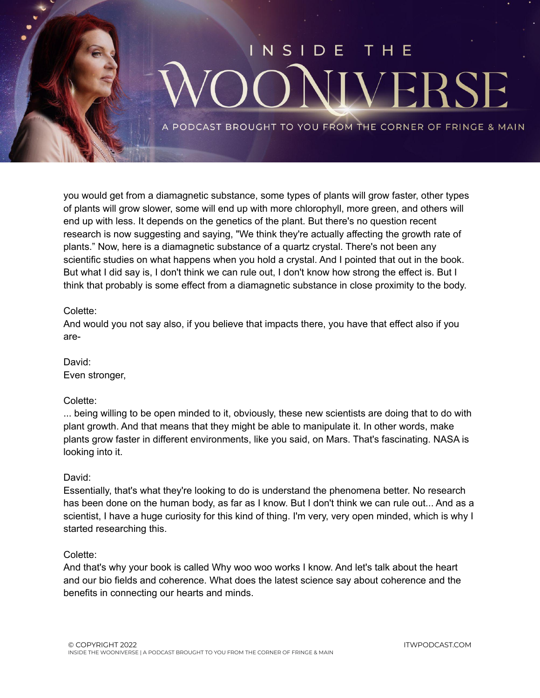

you would get from a diamagnetic substance, some types of plants will grow faster, other types of plants will grow slower, some will end up with more chlorophyll, more green, and others will end up with less. It depends on the genetics of the plant. But there's no question recent research is now suggesting and saying, "We think they're actually affecting the growth rate of plants." Now, here is a diamagnetic substance of a quartz crystal. There's not been any scientific studies on what happens when you hold a crystal. And I pointed that out in the book. But what I did say is, I don't think we can rule out, I don't know how strong the effect is. But I think that probably is some effect from a diamagnetic substance in close proximity to the body.

#### Colette:

And would you not say also, if you believe that impacts there, you have that effect also if you are-

David: Even stronger,

#### Colette:

... being willing to be open minded to it, obviously, these new scientists are doing that to do with plant growth. And that means that they might be able to manipulate it. In other words, make plants grow faster in different environments, like you said, on Mars. That's fascinating. NASA is looking into it.

#### David:

Essentially, that's what they're looking to do is understand the phenomena better. No research has been done on the human body, as far as I know. But I don't think we can rule out... And as a scientist, I have a huge curiosity for this kind of thing. I'm very, very open minded, which is why I started researching this.

#### Colette:

And that's why your book is called Why woo woo works I know. And let's talk about the heart and our bio fields and coherence. What does the latest science say about coherence and the benefits in connecting our hearts and minds.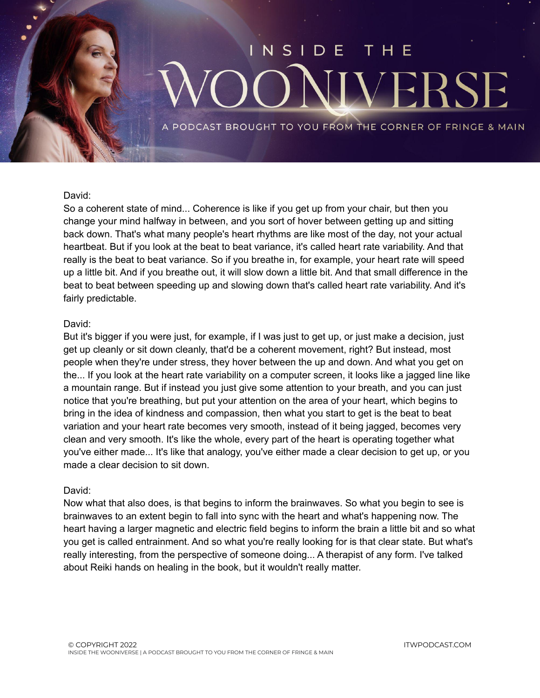### NSIDE VEI **RS**

PODCAST BROUGHT TO YOU FROM THE CORNER OF FRINGE & MAIN

#### David:

So a coherent state of mind... Coherence is like if you get up from your chair, but then you change your mind halfway in between, and you sort of hover between getting up and sitting back down. That's what many people's heart rhythms are like most of the day, not your actual heartbeat. But if you look at the beat to beat variance, it's called heart rate variability. And that really is the beat to beat variance. So if you breathe in, for example, your heart rate will speed up a little bit. And if you breathe out, it will slow down a little bit. And that small difference in the beat to beat between speeding up and slowing down that's called heart rate variability. And it's fairly predictable.

#### David:

But it's bigger if you were just, for example, if I was just to get up, or just make a decision, just get up cleanly or sit down cleanly, that'd be a coherent movement, right? But instead, most people when they're under stress, they hover between the up and down. And what you get on the... If you look at the heart rate variability on a computer screen, it looks like a jagged line like a mountain range. But if instead you just give some attention to your breath, and you can just notice that you're breathing, but put your attention on the area of your heart, which begins to bring in the idea of kindness and compassion, then what you start to get is the beat to beat variation and your heart rate becomes very smooth, instead of it being jagged, becomes very clean and very smooth. It's like the whole, every part of the heart is operating together what you've either made... It's like that analogy, you've either made a clear decision to get up, or you made a clear decision to sit down.

#### David:

Now what that also does, is that begins to inform the brainwaves. So what you begin to see is brainwaves to an extent begin to fall into sync with the heart and what's happening now. The heart having a larger magnetic and electric field begins to inform the brain a little bit and so what you get is called entrainment. And so what you're really looking for is that clear state. But what's really interesting, from the perspective of someone doing... A therapist of any form. I've talked about Reiki hands on healing in the book, but it wouldn't really matter.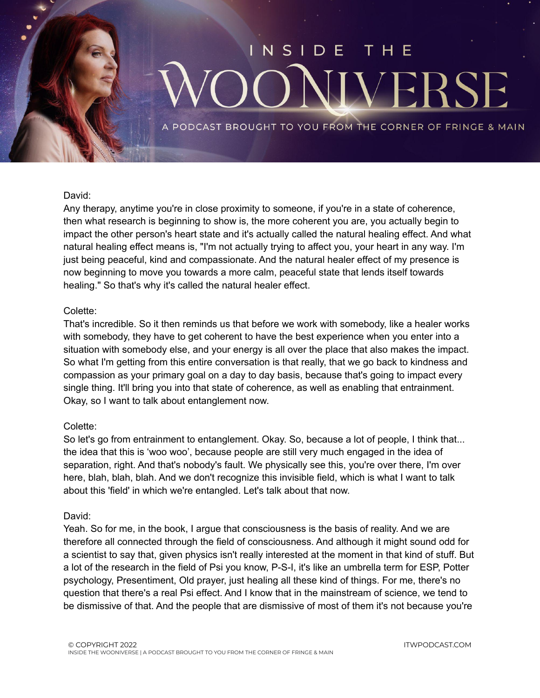# NSIDE VERS

PODCAST BROUGHT TO YOU FROM THE CORNER OF FRINGE & MAIN

#### David:

Any therapy, anytime you're in close proximity to someone, if you're in a state of coherence, then what research is beginning to show is, the more coherent you are, you actually begin to impact the other person's heart state and it's actually called the natural healing effect. And what natural healing effect means is, "I'm not actually trying to affect you, your heart in any way. I'm just being peaceful, kind and compassionate. And the natural healer effect of my presence is now beginning to move you towards a more calm, peaceful state that lends itself towards healing." So that's why it's called the natural healer effect.

#### Colette:

That's incredible. So it then reminds us that before we work with somebody, like a healer works with somebody, they have to get coherent to have the best experience when you enter into a situation with somebody else, and your energy is all over the place that also makes the impact. So what I'm getting from this entire conversation is that really, that we go back to kindness and compassion as your primary goal on a day to day basis, because that's going to impact every single thing. It'll bring you into that state of coherence, as well as enabling that entrainment. Okay, so I want to talk about entanglement now.

#### Colette:

So let's go from entrainment to entanglement. Okay. So, because a lot of people, I think that... the idea that this is 'woo woo', because people are still very much engaged in the idea of separation, right. And that's nobody's fault. We physically see this, you're over there, I'm over here, blah, blah, blah. And we don't recognize this invisible field, which is what I want to talk about this 'field' in which we're entangled. Let's talk about that now.

#### David:

Yeah. So for me, in the book, I argue that consciousness is the basis of reality. And we are therefore all connected through the field of consciousness. And although it might sound odd for a scientist to say that, given physics isn't really interested at the moment in that kind of stuff. But a lot of the research in the field of Psi you know, P-S-I, it's like an umbrella term for ESP, Potter psychology, Presentiment, Old prayer, just healing all these kind of things. For me, there's no question that there's a real Psi effect. And I know that in the mainstream of science, we tend to be dismissive of that. And the people that are dismissive of most of them it's not because you're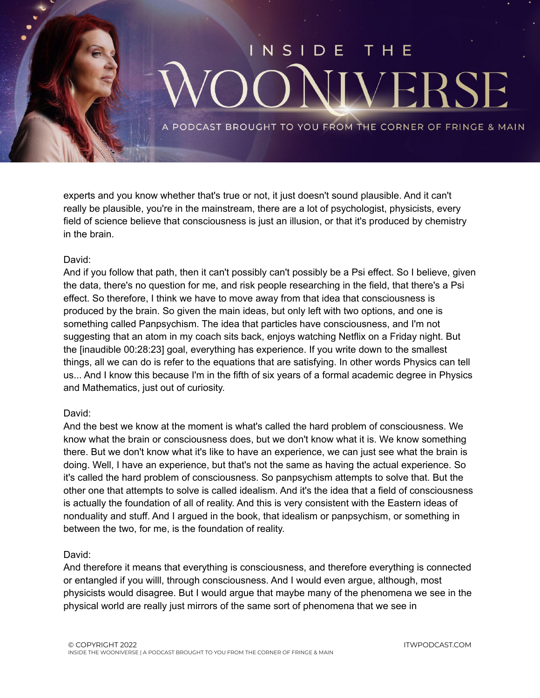

experts and you know whether that's true or not, it just doesn't sound plausible. And it can't really be plausible, you're in the mainstream, there are a lot of psychologist, physicists, every field of science believe that consciousness is just an illusion, or that it's produced by chemistry in the brain.

#### David:

And if you follow that path, then it can't possibly can't possibly be a Psi effect. So I believe, given the data, there's no question for me, and risk people researching in the field, that there's a Psi effect. So therefore, I think we have to move away from that idea that consciousness is produced by the brain. So given the main ideas, but only left with two options, and one is something called Panpsychism. The idea that particles have consciousness, and I'm not suggesting that an atom in my coach sits back, enjoys watching Netflix on a Friday night. But the [inaudible 00:28:23] goal, everything has experience. If you write down to the smallest things, all we can do is refer to the equations that are satisfying. In other words Physics can tell us... And I know this because I'm in the fifth of six years of a formal academic degree in Physics and Mathematics, just out of curiosity.

#### David:

And the best we know at the moment is what's called the hard problem of consciousness. We know what the brain or consciousness does, but we don't know what it is. We know something there. But we don't know what it's like to have an experience, we can just see what the brain is doing. Well, I have an experience, but that's not the same as having the actual experience. So it's called the hard problem of consciousness. So panpsychism attempts to solve that. But the other one that attempts to solve is called idealism. And it's the idea that a field of consciousness is actually the foundation of all of reality. And this is very consistent with the Eastern ideas of nonduality and stuff. And I argued in the book, that idealism or panpsychism, or something in between the two, for me, is the foundation of reality.

#### David:

And therefore it means that everything is consciousness, and therefore everything is connected or entangled if you willl, through consciousness. And I would even argue, although, most physicists would disagree. But I would argue that maybe many of the phenomena we see in the physical world are really just mirrors of the same sort of phenomena that we see in

ITWPODCAST.COM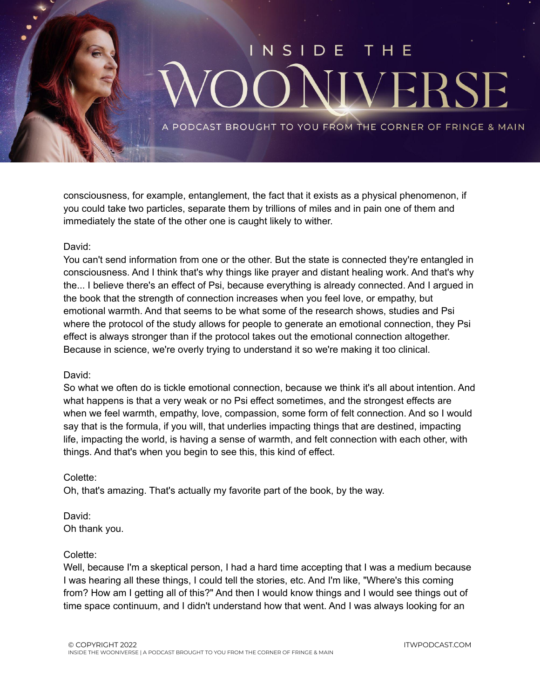

consciousness, for example, entanglement, the fact that it exists as a physical phenomenon, if you could take two particles, separate them by trillions of miles and in pain one of them and immediately the state of the other one is caught likely to wither.

#### David:

You can't send information from one or the other. But the state is connected they're entangled in consciousness. And I think that's why things like prayer and distant healing work. And that's why the... I believe there's an effect of Psi, because everything is already connected. And I argued in the book that the strength of connection increases when you feel love, or empathy, but emotional warmth. And that seems to be what some of the research shows, studies and Psi where the protocol of the study allows for people to generate an emotional connection, they Psi effect is always stronger than if the protocol takes out the emotional connection altogether. Because in science, we're overly trying to understand it so we're making it too clinical.

#### David:

So what we often do is tickle emotional connection, because we think it's all about intention. And what happens is that a very weak or no Psi effect sometimes, and the strongest effects are when we feel warmth, empathy, love, compassion, some form of felt connection. And so I would say that is the formula, if you will, that underlies impacting things that are destined, impacting life, impacting the world, is having a sense of warmth, and felt connection with each other, with things. And that's when you begin to see this, this kind of effect.

#### Colette:

Oh, that's amazing. That's actually my favorite part of the book, by the way.

David: Oh thank you.

#### Colette:

Well, because I'm a skeptical person, I had a hard time accepting that I was a medium because I was hearing all these things, I could tell the stories, etc. And I'm like, "Where's this coming from? How am I getting all of this?" And then I would know things and I would see things out of time space continuum, and I didn't understand how that went. And I was always looking for an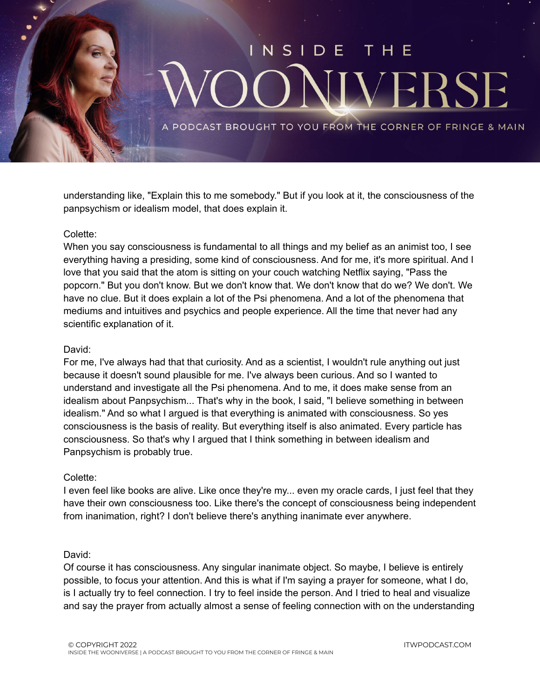

understanding like, "Explain this to me somebody." But if you look at it, the consciousness of the panpsychism or idealism model, that does explain it.

#### Colette:

When you say consciousness is fundamental to all things and my belief as an animist too, I see everything having a presiding, some kind of consciousness. And for me, it's more spiritual. And I love that you said that the atom is sitting on your couch watching Netflix saying, "Pass the popcorn." But you don't know. But we don't know that. We don't know that do we? We don't. We have no clue. But it does explain a lot of the Psi phenomena. And a lot of the phenomena that mediums and intuitives and psychics and people experience. All the time that never had any scientific explanation of it.

#### David:

For me, I've always had that that curiosity. And as a scientist, I wouldn't rule anything out just because it doesn't sound plausible for me. I've always been curious. And so I wanted to understand and investigate all the Psi phenomena. And to me, it does make sense from an idealism about Panpsychism... That's why in the book, I said, "I believe something in between idealism." And so what I argued is that everything is animated with consciousness. So yes consciousness is the basis of reality. But everything itself is also animated. Every particle has consciousness. So that's why I argued that I think something in between idealism and Panpsychism is probably true.

#### Colette:

I even feel like books are alive. Like once they're my... even my oracle cards, I just feel that they have their own consciousness too. Like there's the concept of consciousness being independent from inanimation, right? I don't believe there's anything inanimate ever anywhere.

#### David:

Of course it has consciousness. Any singular inanimate object. So maybe, I believe is entirely possible, to focus your attention. And this is what if I'm saying a prayer for someone, what I do, is I actually try to feel connection. I try to feel inside the person. And I tried to heal and visualize and say the prayer from actually almost a sense of feeling connection with on the understanding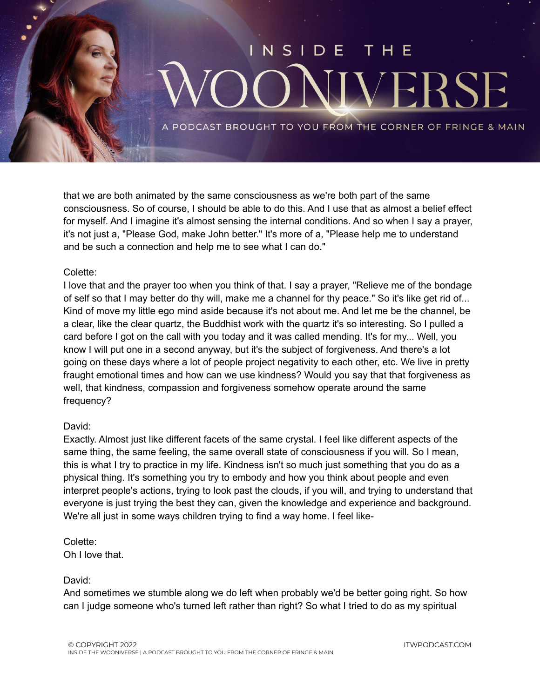

that we are both animated by the same consciousness as we're both part of the same consciousness. So of course, I should be able to do this. And I use that as almost a belief effect for myself. And I imagine it's almost sensing the internal conditions. And so when I say a prayer, it's not just a, "Please God, make John better." It's more of a, "Please help me to understand and be such a connection and help me to see what I can do."

#### Colette:

I love that and the prayer too when you think of that. I say a prayer, "Relieve me of the bondage of self so that I may better do thy will, make me a channel for thy peace." So it's like get rid of... Kind of move my little ego mind aside because it's not about me. And let me be the channel, be a clear, like the clear quartz, the Buddhist work with the quartz it's so interesting. So I pulled a card before I got on the call with you today and it was called mending. It's for my... Well, you know I will put one in a second anyway, but it's the subject of forgiveness. And there's a lot going on these days where a lot of people project negativity to each other, etc. We live in pretty fraught emotional times and how can we use kindness? Would you say that that forgiveness as well, that kindness, compassion and forgiveness somehow operate around the same frequency?

#### David:

Exactly. Almost just like different facets of the same crystal. I feel like different aspects of the same thing, the same feeling, the same overall state of consciousness if you will. So I mean, this is what I try to practice in my life. Kindness isn't so much just something that you do as a physical thing. It's something you try to embody and how you think about people and even interpret people's actions, trying to look past the clouds, if you will, and trying to understand that everyone is just trying the best they can, given the knowledge and experience and background. We're all just in some ways children trying to find a way home. I feel like-

### Colette:

Oh I love that.

#### David:

And sometimes we stumble along we do left when probably we'd be better going right. So how can I judge someone who's turned left rather than right? So what I tried to do as my spiritual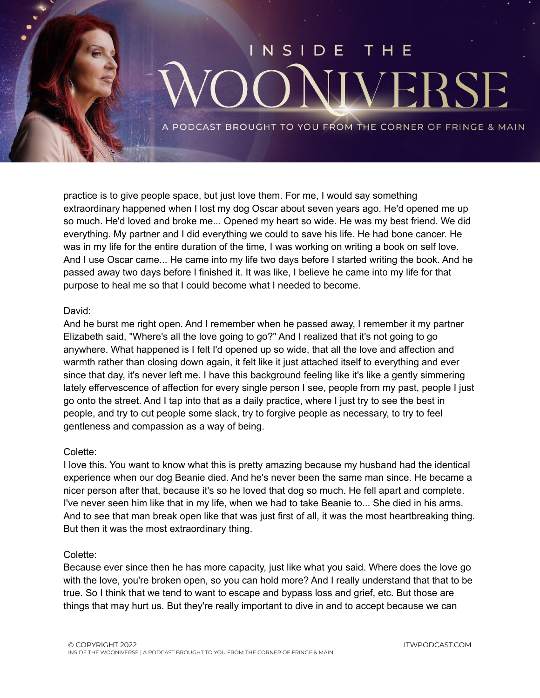

practice is to give people space, but just love them. For me, I would say something extraordinary happened when I lost my dog Oscar about seven years ago. He'd opened me up so much. He'd loved and broke me... Opened my heart so wide. He was my best friend. We did everything. My partner and I did everything we could to save his life. He had bone cancer. He was in my life for the entire duration of the time, I was working on writing a book on self love. And I use Oscar came... He came into my life two days before I started writing the book. And he passed away two days before I finished it. It was like, I believe he came into my life for that purpose to heal me so that I could become what I needed to become.

#### David:

And he burst me right open. And I remember when he passed away, I remember it my partner Elizabeth said, "Where's all the love going to go?" And I realized that it's not going to go anywhere. What happened is I felt I'd opened up so wide, that all the love and affection and warmth rather than closing down again, it felt like it just attached itself to everything and ever since that day, it's never left me. I have this background feeling like it's like a gently simmering lately effervescence of affection for every single person I see, people from my past, people I just go onto the street. And I tap into that as a daily practice, where I just try to see the best in people, and try to cut people some slack, try to forgive people as necessary, to try to feel gentleness and compassion as a way of being.

#### Colette:

I love this. You want to know what this is pretty amazing because my husband had the identical experience when our dog Beanie died. And he's never been the same man since. He became a nicer person after that, because it's so he loved that dog so much. He fell apart and complete. I've never seen him like that in my life, when we had to take Beanie to... She died in his arms. And to see that man break open like that was just first of all, it was the most heartbreaking thing. But then it was the most extraordinary thing.

#### Colette:

Because ever since then he has more capacity, just like what you said. Where does the love go with the love, you're broken open, so you can hold more? And I really understand that that to be true. So I think that we tend to want to escape and bypass loss and grief, etc. But those are things that may hurt us. But they're really important to dive in and to accept because we can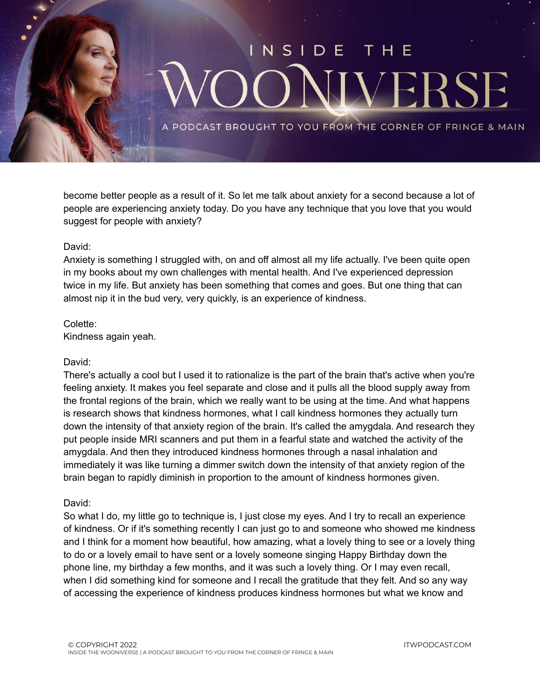

become better people as a result of it. So let me talk about anxiety for a second because a lot of people are experiencing anxiety today. Do you have any technique that you love that you would suggest for people with anxiety?

#### David:

Anxiety is something I struggled with, on and off almost all my life actually. I've been quite open in my books about my own challenges with mental health. And I've experienced depression twice in my life. But anxiety has been something that comes and goes. But one thing that can almost nip it in the bud very, very quickly, is an experience of kindness.

#### Colette:

Kindness again yeah.

#### David:

There's actually a cool but I used it to rationalize is the part of the brain that's active when you're feeling anxiety. It makes you feel separate and close and it pulls all the blood supply away from the frontal regions of the brain, which we really want to be using at the time. And what happens is research shows that kindness hormones, what I call kindness hormones they actually turn down the intensity of that anxiety region of the brain. It's called the amygdala. And research they put people inside MRI scanners and put them in a fearful state and watched the activity of the amygdala. And then they introduced kindness hormones through a nasal inhalation and immediately it was like turning a dimmer switch down the intensity of that anxiety region of the brain began to rapidly diminish in proportion to the amount of kindness hormones given.

#### David:

So what I do, my little go to technique is, I just close my eyes. And I try to recall an experience of kindness. Or if it's something recently I can just go to and someone who showed me kindness and I think for a moment how beautiful, how amazing, what a lovely thing to see or a lovely thing to do or a lovely email to have sent or a lovely someone singing Happy Birthday down the phone line, my birthday a few months, and it was such a lovely thing. Or I may even recall, when I did something kind for someone and I recall the gratitude that they felt. And so any way of accessing the experience of kindness produces kindness hormones but what we know and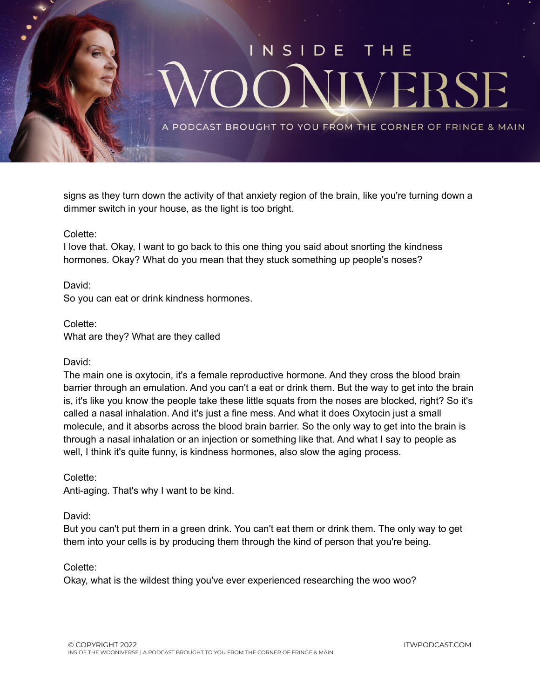

signs as they turn down the activity of that anxiety region of the brain, like you're turning down a dimmer switch in your house, as the light is too bright.

#### Colette:

I love that. Okay, I want to go back to this one thing you said about snorting the kindness hormones. Okay? What do you mean that they stuck something up people's noses?

David:

So you can eat or drink kindness hormones.

Colette: What are they? What are they called

#### David:

The main one is oxytocin, it's a female reproductive hormone. And they cross the blood brain barrier through an emulation. And you can't a eat or drink them. But the way to get into the brain is, it's like you know the people take these little squats from the noses are blocked, right? So it's called a nasal inhalation. And it's just a fine mess. And what it does Oxytocin just a small molecule, and it absorbs across the blood brain barrier. So the only way to get into the brain is through a nasal inhalation or an injection or something like that. And what I say to people as well, I think it's quite funny, is kindness hormones, also slow the aging process.

#### Colette:

Anti-aging. That's why I want to be kind.

#### David:

But you can't put them in a green drink. You can't eat them or drink them. The only way to get them into your cells is by producing them through the kind of person that you're being.

#### Colette:

Okay, what is the wildest thing you've ever experienced researching the woo woo?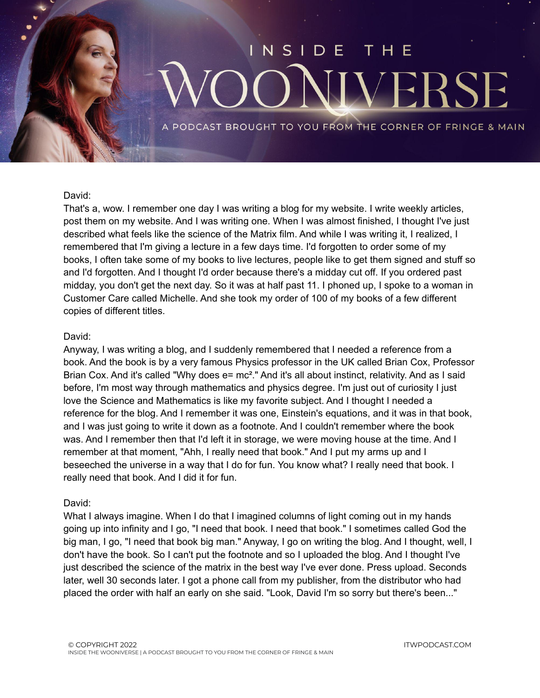## NSIDE **VERS**

PODCAST BROUGHT TO YOU FROM THE CORNER OF FRINGE & MAIN

#### David:

That's a, wow. I remember one day I was writing a blog for my website. I write weekly articles, post them on my website. And I was writing one. When I was almost finished, I thought I've just described what feels like the science of the Matrix film. And while I was writing it, I realized, I remembered that I'm giving a lecture in a few days time. I'd forgotten to order some of my books, I often take some of my books to live lectures, people like to get them signed and stuff so and I'd forgotten. And I thought I'd order because there's a midday cut off. If you ordered past midday, you don't get the next day. So it was at half past 11. I phoned up, I spoke to a woman in Customer Care called Michelle. And she took my order of 100 of my books of a few different copies of different titles.

#### David:

Anyway, I was writing a blog, and I suddenly remembered that I needed a reference from a book. And the book is by a very famous Physics professor in the UK called Brian Cox, Professor Brian Cox. And it's called "Why does e= mc<sup>2</sup>." And it's all about instinct, relativity. And as I said before, I'm most way through mathematics and physics degree. I'm just out of curiosity I just love the Science and Mathematics is like my favorite subject. And I thought I needed a reference for the blog. And I remember it was one, Einstein's equations, and it was in that book, and I was just going to write it down as a footnote. And I couldn't remember where the book was. And I remember then that I'd left it in storage, we were moving house at the time. And I remember at that moment, "Ahh, I really need that book." And I put my arms up and I beseeched the universe in a way that I do for fun. You know what? I really need that book. I really need that book. And I did it for fun.

#### David:

What I always imagine. When I do that I imagined columns of light coming out in my hands going up into infinity and I go, "I need that book. I need that book." I sometimes called God the big man, I go, "I need that book big man." Anyway, I go on writing the blog. And I thought, well, I don't have the book. So I can't put the footnote and so I uploaded the blog. And I thought I've just described the science of the matrix in the best way I've ever done. Press upload. Seconds later, well 30 seconds later. I got a phone call from my publisher, from the distributor who had placed the order with half an early on she said. "Look, David I'm so sorry but there's been..."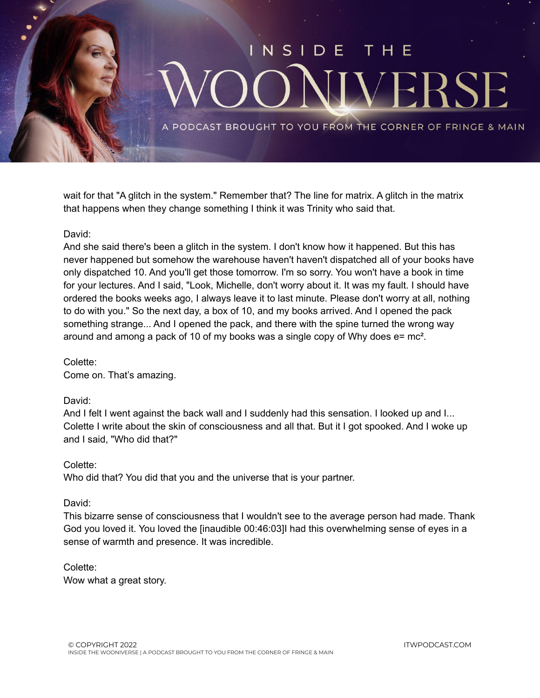

wait for that "A glitch in the system." Remember that? The line for matrix. A glitch in the matrix that happens when they change something I think it was Trinity who said that.

#### David:

And she said there's been a glitch in the system. I don't know how it happened. But this has never happened but somehow the warehouse haven't haven't dispatched all of your books have only dispatched 10. And you'll get those tomorrow. I'm so sorry. You won't have a book in time for your lectures. And I said, "Look, Michelle, don't worry about it. It was my fault. I should have ordered the books weeks ago, I always leave it to last minute. Please don't worry at all, nothing to do with you." So the next day, a box of 10, and my books arrived. And I opened the pack something strange... And I opened the pack, and there with the spine turned the wrong way around and among a pack of 10 of my books was a single copy of Why does  $e = mc^2$ .

#### Colette:

Come on. That's amazing.

#### David:

And I felt I went against the back wall and I suddenly had this sensation. I looked up and I... Colette I write about the skin of consciousness and all that. But it I got spooked. And I woke up and I said, "Who did that?"

#### Colette:

Who did that? You did that you and the universe that is your partner.

#### David:

This bizarre sense of consciousness that I wouldn't see to the average person had made. Thank God you loved it. You loved the [inaudible 00:46:03]I had this overwhelming sense of eyes in a sense of warmth and presence. It was incredible.

#### Colette:

Wow what a great story.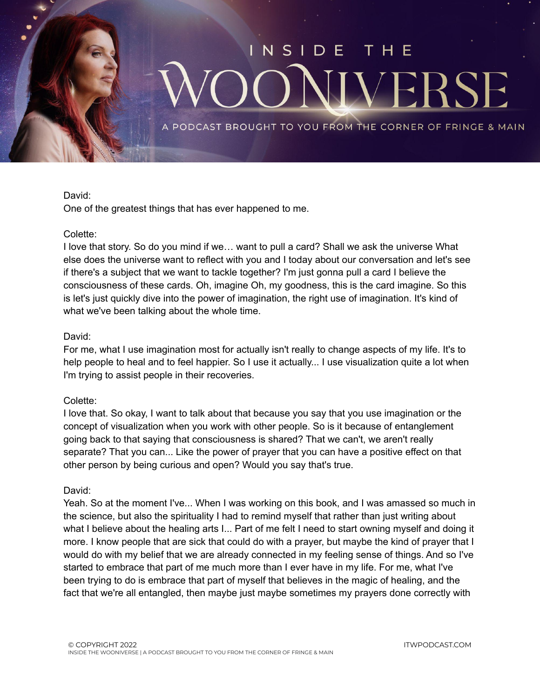

#### David:

One of the greatest things that has ever happened to me.

#### Colette:

I love that story. So do you mind if we… want to pull a card? Shall we ask the universe What else does the universe want to reflect with you and I today about our conversation and let's see if there's a subject that we want to tackle together? I'm just gonna pull a card I believe the consciousness of these cards. Oh, imagine Oh, my goodness, this is the card imagine. So this is let's just quickly dive into the power of imagination, the right use of imagination. It's kind of what we've been talking about the whole time.

#### David:

For me, what I use imagination most for actually isn't really to change aspects of my life. It's to help people to heal and to feel happier. So I use it actually... I use visualization quite a lot when I'm trying to assist people in their recoveries.

#### Colette:

I love that. So okay, I want to talk about that because you say that you use imagination or the concept of visualization when you work with other people. So is it because of entanglement going back to that saying that consciousness is shared? That we can't, we aren't really separate? That you can... Like the power of prayer that you can have a positive effect on that other person by being curious and open? Would you say that's true.

#### David:

Yeah. So at the moment I've... When I was working on this book, and I was amassed so much in the science, but also the spirituality I had to remind myself that rather than just writing about what I believe about the healing arts I... Part of me felt I need to start owning myself and doing it more. I know people that are sick that could do with a prayer, but maybe the kind of prayer that I would do with my belief that we are already connected in my feeling sense of things. And so I've started to embrace that part of me much more than I ever have in my life. For me, what I've been trying to do is embrace that part of myself that believes in the magic of healing, and the fact that we're all entangled, then maybe just maybe sometimes my prayers done correctly with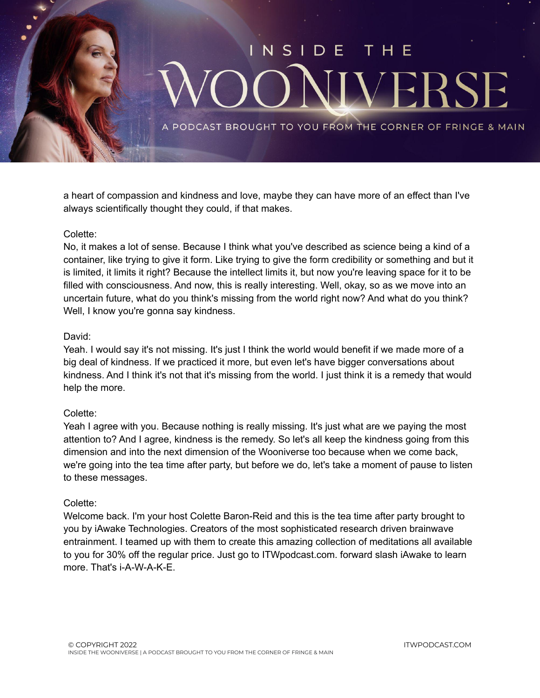

a heart of compassion and kindness and love, maybe they can have more of an effect than I've always scientifically thought they could, if that makes.

#### Colette:

No, it makes a lot of sense. Because I think what you've described as science being a kind of a container, like trying to give it form. Like trying to give the form credibility or something and but it is limited, it limits it right? Because the intellect limits it, but now you're leaving space for it to be filled with consciousness. And now, this is really interesting. Well, okay, so as we move into an uncertain future, what do you think's missing from the world right now? And what do you think? Well, I know you're gonna say kindness.

#### David:

Yeah. I would say it's not missing. It's just I think the world would benefit if we made more of a big deal of kindness. If we practiced it more, but even let's have bigger conversations about kindness. And I think it's not that it's missing from the world. I just think it is a remedy that would help the more.

#### Colette:

Yeah I agree with you. Because nothing is really missing. It's just what are we paying the most attention to? And I agree, kindness is the remedy. So let's all keep the kindness going from this dimension and into the next dimension of the Wooniverse too because when we come back, we're going into the tea time after party, but before we do, let's take a moment of pause to listen to these messages.

#### Colette:

Welcome back. I'm your host Colette Baron-Reid and this is the tea time after party brought to you by iAwake Technologies. Creators of the most sophisticated research driven brainwave entrainment. I teamed up with them to create this amazing collection of meditations all available to you for 30% off the regular price. Just go to ITWpodcast.com. forward slash iAwake to learn more. That's i-A-W-A-K-E.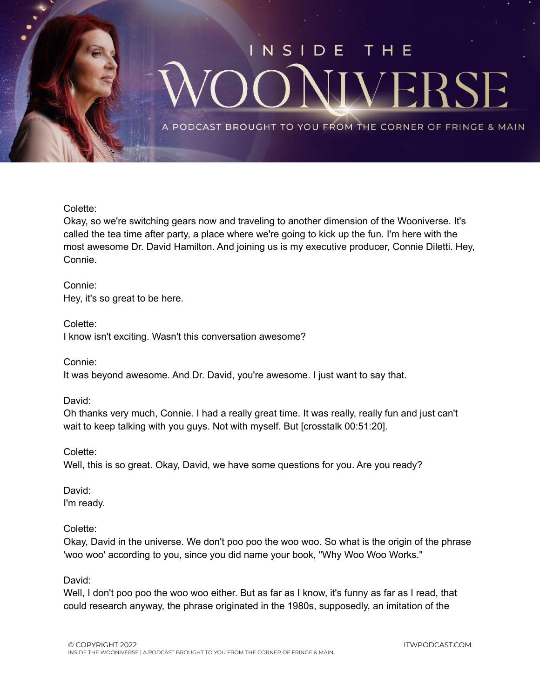

#### Colette:

Okay, so we're switching gears now and traveling to another dimension of the Wooniverse. It's called the tea time after party, a place where we're going to kick up the fun. I'm here with the most awesome Dr. David Hamilton. And joining us is my executive producer, Connie Diletti. Hey, Connie.

#### Connie:

Hey, it's so great to be here.

#### Colette:

I know isn't exciting. Wasn't this conversation awesome?

Connie:

It was beyond awesome. And Dr. David, you're awesome. I just want to say that.

#### David:

Oh thanks very much, Connie. I had a really great time. It was really, really fun and just can't wait to keep talking with you guys. Not with myself. But [crosstalk 00:51:20].

#### Colette:

Well, this is so great. Okay, David, we have some questions for you. Are you ready?

David: I'm ready.

#### Colette:

Okay, David in the universe. We don't poo poo the woo woo. So what is the origin of the phrase 'woo woo' according to you, since you did name your book, "Why Woo Woo Works."

#### David:

Well, I don't poo poo the woo woo either. But as far as I know, it's funny as far as I read, that could research anyway, the phrase originated in the 1980s, supposedly, an imitation of the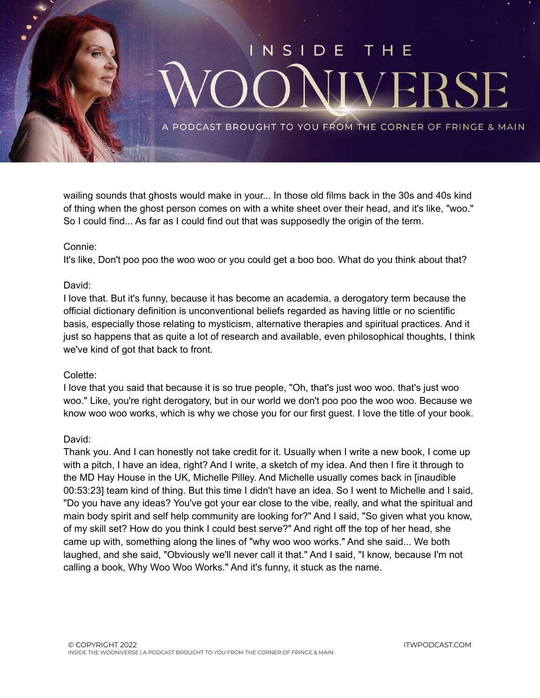

wailing sounds that ghosts would make in your... In those old films back in the 30s and 40s kind of thing when the ghost person comes on with a white sheet over their head, and it's like, "woo." So I could find... As far as I could find out that was supposedly the origin of the term.

#### Connie:

It's like, Don't poo poo the woo woo or you could get a boo boo. What do you think about that?

#### David:

I love that. But it's funny, because it has become an academia, a derogatory term because the official dictionary definition is unconventional beliefs regarded as having little or no scientific basis, especially those relating to mysticism, alternative therapies and spiritual practices. And it just so happens that as quite a lot of research and available, even philosophical thoughts, I think we've kind of got that back to front.

#### Colette:

I love that you said that because it is so true people, "Oh, that's just woo woo. that's just woo woo." Like, you're right derogatory, but in our world we don't poo poo the woo woo. Because we know woo woo works, which is why we chose you for our first guest. I love the title of your book.

#### David:

Thank you. And I can honestly not take credit for it. Usually when I write a new book, I come up with a pitch, I have an idea, right? And I write, a sketch of my idea. And then I fire it through to the MD Hay House in the UK, Michelle Pilley. And Michelle usually comes back in [inaudible 00:53:23] team kind of thing. But this time I didn't have an idea. So I went to Michelle and I said, "Do you have any ideas? You've got your ear close to the vibe, really, and what the spiritual and main body spirit and self help community are looking for?" And I said, "So given what you know, of my skill set? How do you think I could best serve?" And right off the top of her head, she came up with, something along the lines of "why woo woo works." And she said... We both laughed, and she said, "Obviously we'll never call it that." And I said, "I know, because I'm not calling a book, Why Woo Woo Works." And it's funny, it stuck as the name.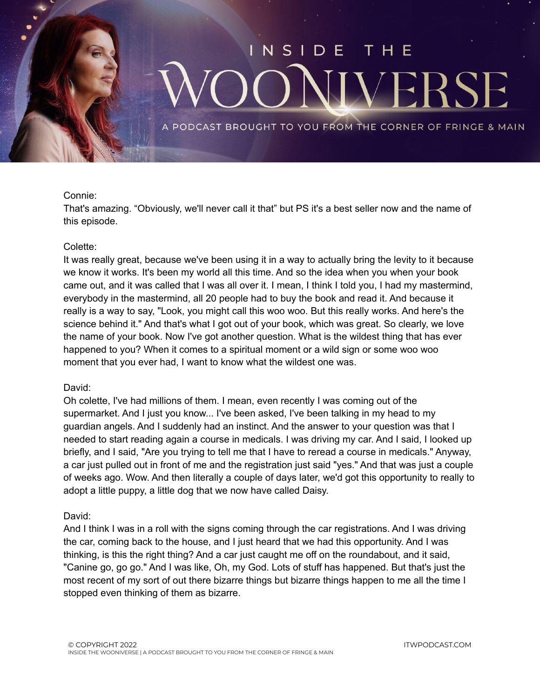

#### Connie:

That's amazing. "Obviously, we'll never call it that" but PS it's a best seller now and the name of this episode.

#### Colette:

It was really great, because we've been using it in a way to actually bring the levity to it because we know it works. It's been my world all this time. And so the idea when you when your book came out, and it was called that I was all over it. I mean, I think I told you, I had my mastermind, everybody in the mastermind, all 20 people had to buy the book and read it. And because it really is a way to say, "Look, you might call this woo woo. But this really works. And here's the science behind it." And that's what I got out of your book, which was great. So clearly, we love the name of your book. Now I've got another question. What is the wildest thing that has ever happened to you? When it comes to a spiritual moment or a wild sign or some woo woo moment that you ever had, I want to know what the wildest one was.

#### David:

Oh colette, I've had millions of them. I mean, even recently I was coming out of the supermarket. And I just you know... I've been asked, I've been talking in my head to my guardian angels. And I suddenly had an instinct. And the answer to your question was that I needed to start reading again a course in medicals. I was driving my car. And I said, I looked up briefly, and I said, "Are you trying to tell me that I have to reread a course in medicals." Anyway, a car just pulled out in front of me and the registration just said "yes." And that was just a couple of weeks ago. Wow. And then literally a couple of days later, we'd got this opportunity to really to adopt a little puppy, a little dog that we now have called Daisy.

#### David:

And I think I was in a roll with the signs coming through the car registrations. And I was driving the car, coming back to the house, and I just heard that we had this opportunity. And I was thinking, is this the right thing? And a car just caught me off on the roundabout, and it said, "Canine go, go go." And I was like, Oh, my God. Lots of stuff has happened. But that's just the most recent of my sort of out there bizarre things but bizarre things happen to me all the time I stopped even thinking of them as bizarre.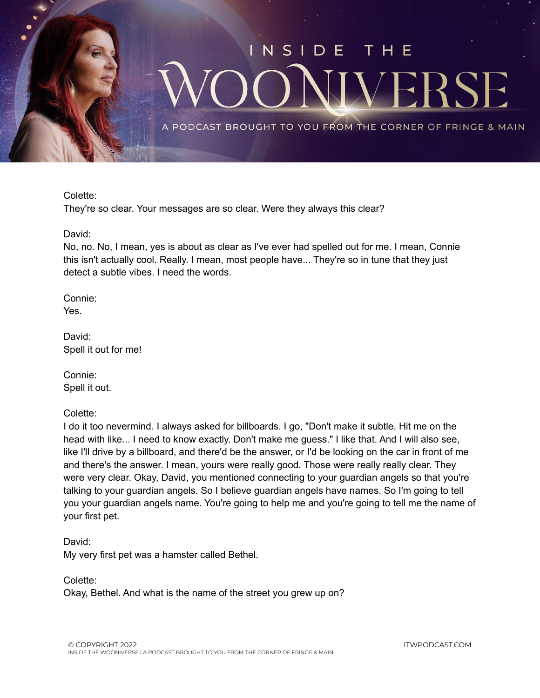

Colette:

They're so clear. Your messages are so clear. Were they always this clear?

David:

No, no. No, I mean, yes is about as clear as I've ever had spelled out for me. I mean, Connie this isn't actually cool. Really. I mean, most people have... They're so in tune that they just detect a subtle vibes. I need the words.

Connie: Yes.

David: Spell it out for me!

Connie: Spell it out.

Colette:

I do it too nevermind. I always asked for billboards. I go, "Don't make it subtle. Hit me on the head with like... I need to know exactly. Don't make me guess." I like that. And I will also see, like I'll drive by a billboard, and there'd be the answer, or I'd be looking on the car in front of me and there's the answer. I mean, yours were really good. Those were really really clear. They were very clear. Okay, David, you mentioned connecting to your guardian angels so that you're talking to your guardian angels. So I believe guardian angels have names. So I'm going to tell you your guardian angels name. You're going to help me and you're going to tell me the name of your first pet.

David: My very first pet was a hamster called Bethel.

Colette: Okay, Bethel. And what is the name of the street you grew up on?

ITWPODCAST.COM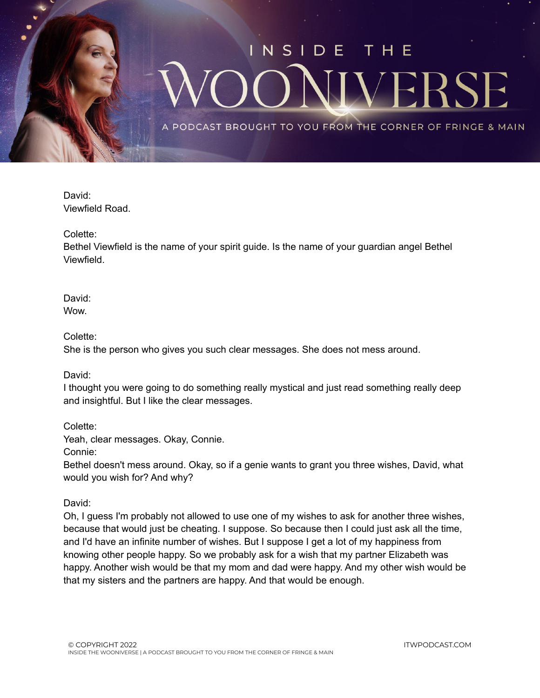

David: Viewfield Road.

Colette:

Bethel Viewfield is the name of your spirit guide. Is the name of your guardian angel Bethel Viewfield.

David: Wow.

Colette:

She is the person who gives you such clear messages. She does not mess around.

David:

I thought you were going to do something really mystical and just read something really deep and insightful. But I like the clear messages.

Colette:

Yeah, clear messages. Okay, Connie.

Connie:

Bethel doesn't mess around. Okay, so if a genie wants to grant you three wishes, David, what would you wish for? And why?

David:

Oh, I guess I'm probably not allowed to use one of my wishes to ask for another three wishes, because that would just be cheating. I suppose. So because then I could just ask all the time, and I'd have an infinite number of wishes. But I suppose I get a lot of my happiness from knowing other people happy. So we probably ask for a wish that my partner Elizabeth was happy. Another wish would be that my mom and dad were happy. And my other wish would be that my sisters and the partners are happy. And that would be enough.

ITWPODCAST.COM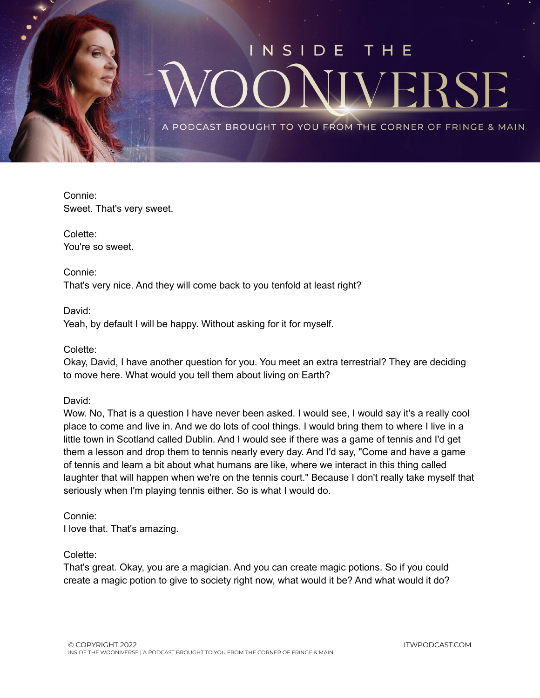

Connie: Sweet. That's very sweet.

Colette: You're so sweet.

Connie: That's very nice. And they will come back to you tenfold at least right?

David: Yeah, by default I will be happy. Without asking for it for myself.

Colette:

Okay, David, I have another question for you. You meet an extra terrestrial? They are deciding to move here. What would you tell them about living on Earth?

David:

Wow. No, That is a question I have never been asked. I would see, I would say it's a really cool place to come and live in. And we do lots of cool things. I would bring them to where I live in a little town in Scotland called Dublin. And I would see if there was a game of tennis and I'd get them a lesson and drop them to tennis nearly every day. And I'd say, "Come and have a game of tennis and learn a bit about what humans are like, where we interact in this thing called laughter that will happen when we're on the tennis court." Because I don't really take myself that seriously when I'm playing tennis either. So is what I would do.

Connie: I love that. That's amazing.

Colette:

That's great. Okay, you are a magician. And you can create magic potions. So if you could create a magic potion to give to society right now, what would it be? And what would it do?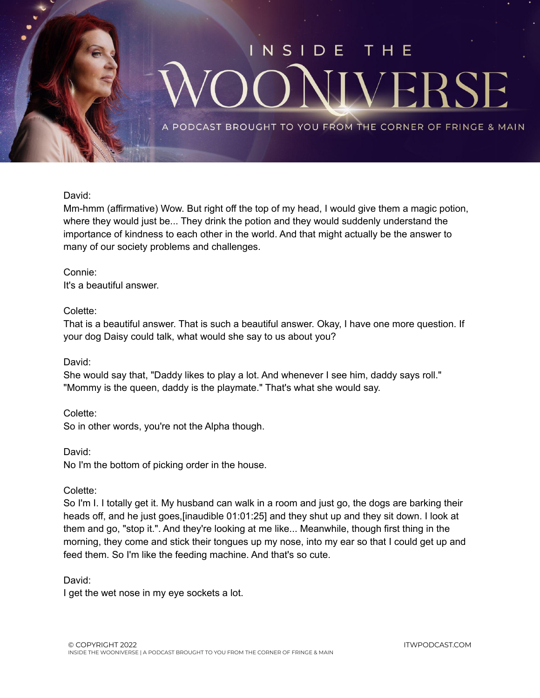

#### David:

Mm-hmm (affirmative) Wow. But right off the top of my head, I would give them a magic potion, where they would just be... They drink the potion and they would suddenly understand the importance of kindness to each other in the world. And that might actually be the answer to many of our society problems and challenges.

#### Connie: It's a beautiful answer.

#### Colette:

That is a beautiful answer. That is such a beautiful answer. Okay, I have one more question. If your dog Daisy could talk, what would she say to us about you?

#### David:

She would say that, "Daddy likes to play a lot. And whenever I see him, daddy says roll." "Mommy is the queen, daddy is the playmate." That's what she would say.

#### Colette:

So in other words, you're not the Alpha though.

#### David:

No I'm the bottom of picking order in the house.

#### Colette:

So I'm I. I totally get it. My husband can walk in a room and just go, the dogs are barking their heads off, and he just goes,[inaudible 01:01:25] and they shut up and they sit down. I look at them and go, "stop it.". And they're looking at me like... Meanwhile, though first thing in the morning, they come and stick their tongues up my nose, into my ear so that I could get up and feed them. So I'm like the feeding machine. And that's so cute.

#### David:

I get the wet nose in my eye sockets a lot.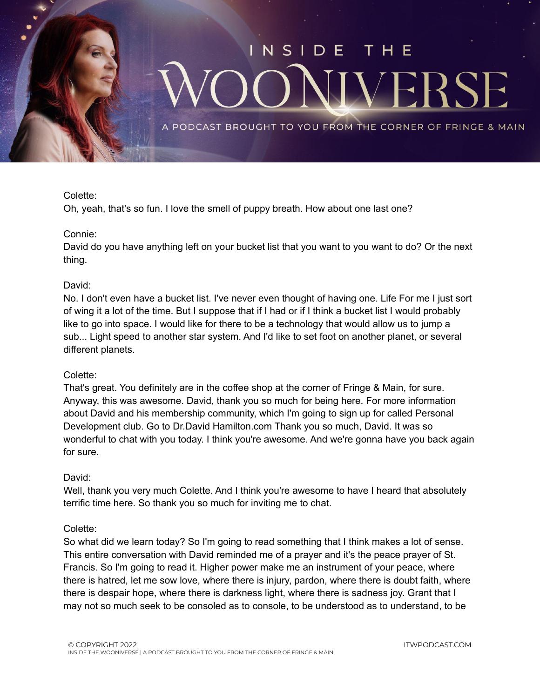

#### Colette:

Oh, yeah, that's so fun. I love the smell of puppy breath. How about one last one?

#### Connie:

David do you have anything left on your bucket list that you want to you want to do? Or the next thing.

#### David:

No. I don't even have a bucket list. I've never even thought of having one. Life For me I just sort of wing it a lot of the time. But I suppose that if I had or if I think a bucket list I would probably like to go into space. I would like for there to be a technology that would allow us to jump a sub... Light speed to another star system. And I'd like to set foot on another planet, or several different planets.

#### Colette:

That's great. You definitely are in the coffee shop at the corner of Fringe & Main, for sure. Anyway, this was awesome. David, thank you so much for being here. For more information about David and his membership community, which I'm going to sign up for called Personal Development club. Go to Dr.David Hamilton.com Thank you so much, David. It was so wonderful to chat with you today. I think you're awesome. And we're gonna have you back again for sure.

#### David:

Well, thank you very much Colette. And I think you're awesome to have I heard that absolutely terrific time here. So thank you so much for inviting me to chat.

#### Colette:

So what did we learn today? So I'm going to read something that I think makes a lot of sense. This entire conversation with David reminded me of a prayer and it's the peace prayer of St. Francis. So I'm going to read it. Higher power make me an instrument of your peace, where there is hatred, let me sow love, where there is injury, pardon, where there is doubt faith, where there is despair hope, where there is darkness light, where there is sadness joy. Grant that I may not so much seek to be consoled as to console, to be understood as to understand, to be